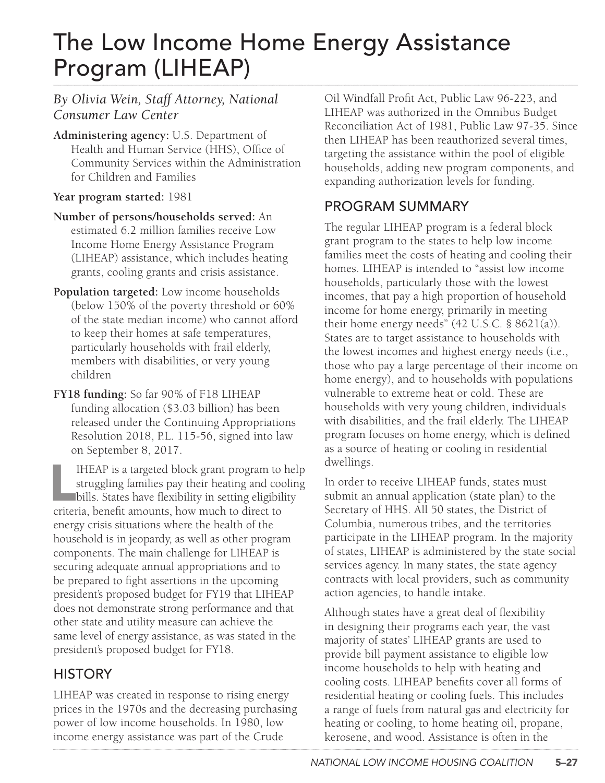# The Low Income Home Energy Assistance Program (LIHEAP)

#### *By Olivia Wein, Staff Attorney, National Consumer Law Center*

**Administering agency:** U.S. Department of Health and Human Service (HHS), Office of Community Services within the Administration for Children and Families

#### **Year program started:** 1981

- **Number of persons/households served:** An estimated 6.2 million families receive Low Income Home Energy Assistance Program (LIHEAP) assistance, which includes heating grants, cooling grants and crisis assistance.
- **Population targeted:** Low income households (below 150% of the poverty threshold or 60% of the state median income) who cannot afford to keep their homes at safe temperatures, particularly households with frail elderly, members with disabilities, or very young children
- **FY18 funding:** So far 90% of F18 LIHEAP funding allocation (\$3.03 billion) has been released under the Continuing Appropriations Resolution 2018, P.L. 115-56, signed into law on September 8, 2017.

IHEAP is a targeted block grant program to<br>struggling families pay their heating and coc<br>bills. States have flexibility in setting eligibil<br>criteria, benefit amounts, how much to direct to IHEAP is a targeted block grant program to help struggling families pay their heating and cooling bills. States have flexibility in setting eligibility energy crisis situations where the health of the household is in jeopardy, as well as other program components. The main challenge for LIHEAP is securing adequate annual appropriations and to be prepared to fight assertions in the upcoming president's proposed budget for FY19 that LIHEAP does not demonstrate strong performance and that other state and utility measure can achieve the same level of energy assistance, as was stated in the president's proposed budget for FY18.

### **HISTORY**

LIHEAP was created in response to rising energy prices in the 1970s and the decreasing purchasing power of low income households. In 1980, low income energy assistance was part of the Crude

Oil Windfall Profit Act, Public Law 96-223, and LIHEAP was authorized in the Omnibus Budget Reconciliation Act of 1981, Public Law 97-35. Since then LIHEAP has been reauthorized several times, targeting the assistance within the pool of eligible households, adding new program components, and expanding authorization levels for funding.

#### PROGRAM SUMMARY

The regular LIHEAP program is a federal block grant program to the states to help low income families meet the costs of heating and cooling their homes. LIHEAP is intended to "assist low income households, particularly those with the lowest incomes, that pay a high proportion of household income for home energy, primarily in meeting their home energy needs" (42 U.S.C. § 8621(a)). States are to target assistance to households with the lowest incomes and highest energy needs (i.e., those who pay a large percentage of their income on home energy), and to households with populations vulnerable to extreme heat or cold. These are households with very young children, individuals with disabilities, and the frail elderly. The LIHEAP program focuses on home energy, which is defined as a source of heating or cooling in residential dwellings.

In order to receive LIHEAP funds, states must submit an annual application (state plan) to the Secretary of HHS. All 50 states, the District of Columbia, numerous tribes, and the territories participate in the LIHEAP program. In the majority of states, LIHEAP is administered by the state social services agency. In many states, the state agency contracts with local providers, such as community action agencies, to handle intake.

Although states have a great deal of flexibility in designing their programs each year, the vast majority of states' LIHEAP grants are used to provide bill payment assistance to eligible low income households to help with heating and cooling costs. LIHEAP benefits cover all forms of residential heating or cooling fuels. This includes a range of fuels from natural gas and electricity for heating or cooling, to home heating oil, propane, kerosene, and wood. Assistance is often in the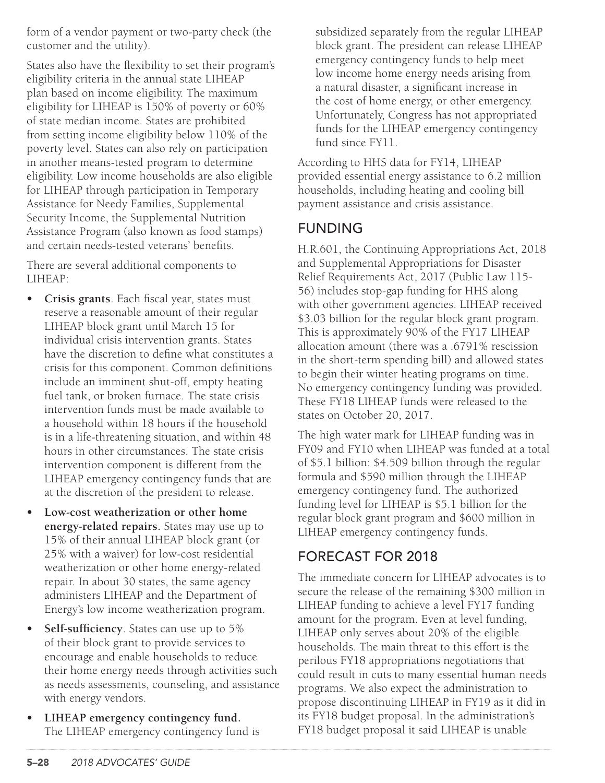form of a vendor payment or two-party check (the customer and the utility).

States also have the flexibility to set their program's eligibility criteria in the annual state LIHEAP plan based on income eligibility. The maximum eligibility for LIHEAP is 150% of poverty or 60% of state median income. States are prohibited from setting income eligibility below 110% of the poverty level. States can also rely on participation in another means-tested program to determine eligibility. Low income households are also eligible for LIHEAP through participation in Temporary Assistance for Needy Families, Supplemental Security Income, the Supplemental Nutrition Assistance Program (also known as food stamps) and certain needs-tested veterans' benefits.

There are several additional components to LIHEAP:

- **• Crisis grants**. Each fiscal year, states must reserve a reasonable amount of their regular LIHEAP block grant until March 15 for individual crisis intervention grants. States have the discretion to define what constitutes a crisis for this component. Common definitions include an imminent shut-off, empty heating fuel tank, or broken furnace. The state crisis intervention funds must be made available to a household within 18 hours if the household is in a life-threatening situation, and within 48 hours in other circumstances. The state crisis intervention component is different from the LIHEAP emergency contingency funds that are at the discretion of the president to release.
- **• Low-cost weatherization or other home energy-related repairs.** States may use up to 15% of their annual LIHEAP block grant (or 25% with a waiver) for low-cost residential weatherization or other home energy-related repair. In about 30 states, the same agency administers LIHEAP and the Department of Energy's low income weatherization program.
- **• Self-sufficiency**. States can use up to 5% of their block grant to provide services to encourage and enable households to reduce their home energy needs through activities such as needs assessments, counseling, and assistance with energy vendors.
- **• LIHEAP emergency contingency fund.**  The LIHEAP emergency contingency fund is

subsidized separately from the regular LIHEAP block grant. The president can release LIHEAP emergency contingency funds to help meet low income home energy needs arising from a natural disaster, a significant increase in the cost of home energy, or other emergency. Unfortunately, Congress has not appropriated funds for the LIHEAP emergency contingency fund since FY11.

According to HHS data for FY14, LIHEAP provided essential energy assistance to 6.2 million households, including heating and cooling bill payment assistance and crisis assistance.

#### FUNDING

H.R.601, the Continuing Appropriations Act, 2018 and Supplemental Appropriations for Disaster Relief Requirements Act, 2017 (Public Law 115- 56) includes stop-gap funding for HHS along with other government agencies. LIHEAP received \$3.03 billion for the regular block grant program. This is approximately 90% of the FY17 LIHEAP allocation amount (there was a .6791% rescission in the short-term spending bill) and allowed states to begin their winter heating programs on time. No emergency contingency funding was provided. These FY18 LIHEAP funds were released to the states on October 20, 2017.

The high water mark for LIHEAP funding was in FY09 and FY10 when LIHEAP was funded at a total of \$5.1 billion: \$4.509 billion through the regular formula and \$590 million through the LIHEAP emergency contingency fund. The authorized funding level for LIHEAP is \$5.1 billion for the regular block grant program and \$600 million in LIHEAP emergency contingency funds.

#### FORECAST FOR 2018

The immediate concern for LIHEAP advocates is to secure the release of the remaining \$300 million in LIHEAP funding to achieve a level FY17 funding amount for the program. Even at level funding, LIHEAP only serves about 20% of the eligible households. The main threat to this effort is the perilous FY18 appropriations negotiations that could result in cuts to many essential human needs programs. We also expect the administration to propose discontinuing LIHEAP in FY19 as it did in its FY18 budget proposal. In the administration's FY18 budget proposal it said LIHEAP is unable